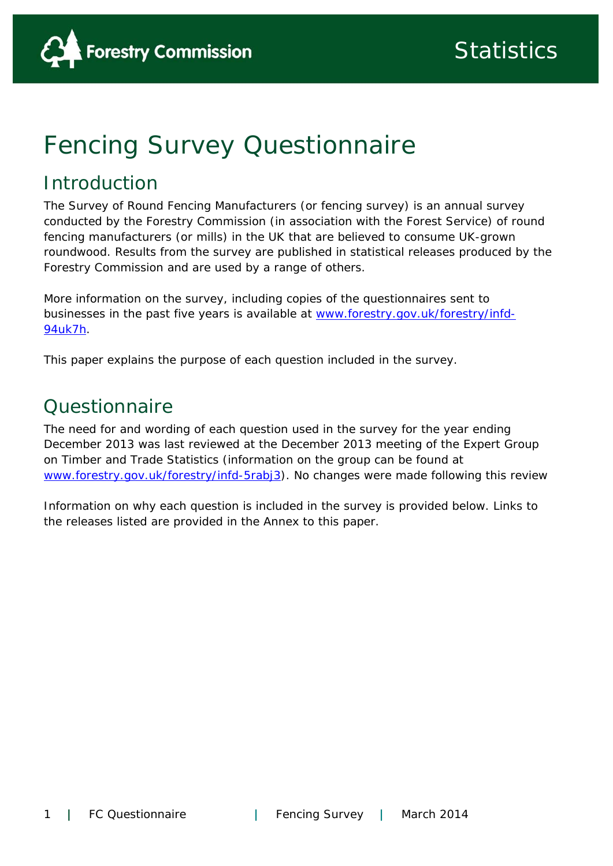

# Fencing Survey Questionnaire

# Introduction

The Survey of Round Fencing Manufacturers (or fencing survey) is an annual survey conducted by the Forestry Commission (in association with the Forest Service) of round fencing manufacturers (or mills) in the UK that are believed to consume UK-grown roundwood. Results from the survey are published in statistical releases produced by the Forestry Commission and are used by a range of others.

More information on the survey, including copies of the questionnaires sent to businesses in the past five years is available at www.forestry.gov.uk/forestry/infd-94uk7h.

This paper explains the purpose of each question included in the survey.

# Questionnaire

The need for and wording of each question used in the survey for the year ending December 2013 was last reviewed at the December 2013 meeting of the Expert Group on Timber and Trade Statistics (information on the group can be found at www.forestry.gov.uk/forestry/infd-5rabj3). No changes were made following this review

Information on why each question is included in the survey is provided below. Links to the releases listed are provided in the Annex to this paper.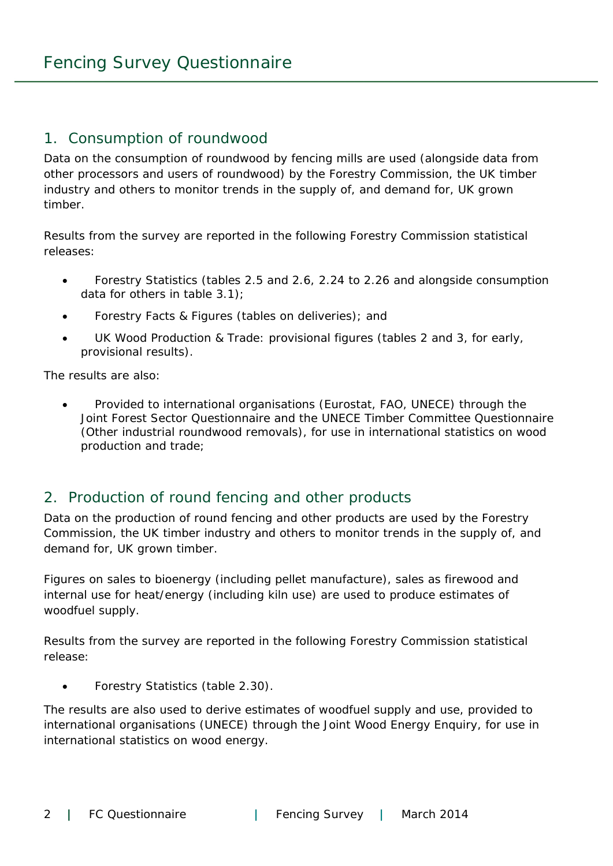#### 1. Consumption of roundwood

Data on the consumption of roundwood by fencing mills are used (alongside data from other processors and users of roundwood) by the Forestry Commission, the UK timber industry and others to monitor trends in the supply of, and demand for, UK grown timber.

Results from the survey are reported in the following Forestry Commission statistical releases:

- Forestry Statistics (tables 2.5 and 2.6, 2.24 to 2.26 and alongside consumption data for others in table 3.1);
- **•** Forestry Facts & Figures (tables on deliveries); and
- UK Wood Production & Trade: provisional figures (tables 2 and 3, for early, provisional results).

The results are also:

 Provided to international organisations (Eurostat, FAO, UNECE) through the Joint Forest Sector Questionnaire and the UNECE Timber Committee Questionnaire (Other industrial roundwood removals), for use in international statistics on wood production and trade;

#### 2. Production of round fencing and other products

Data on the production of round fencing and other products are used by the Forestry Commission, the UK timber industry and others to monitor trends in the supply of, and demand for, UK grown timber.

Figures on sales to bioenergy (including pellet manufacture), sales as firewood and internal use for heat/energy (including kiln use) are used to produce estimates of woodfuel supply.

Results from the survey are reported in the following Forestry Commission statistical release:

Forestry Statistics (table 2.30).

The results are also used to derive estimates of woodfuel supply and use, provided to international organisations (UNECE) through the Joint Wood Energy Enquiry, for use in international statistics on wood energy.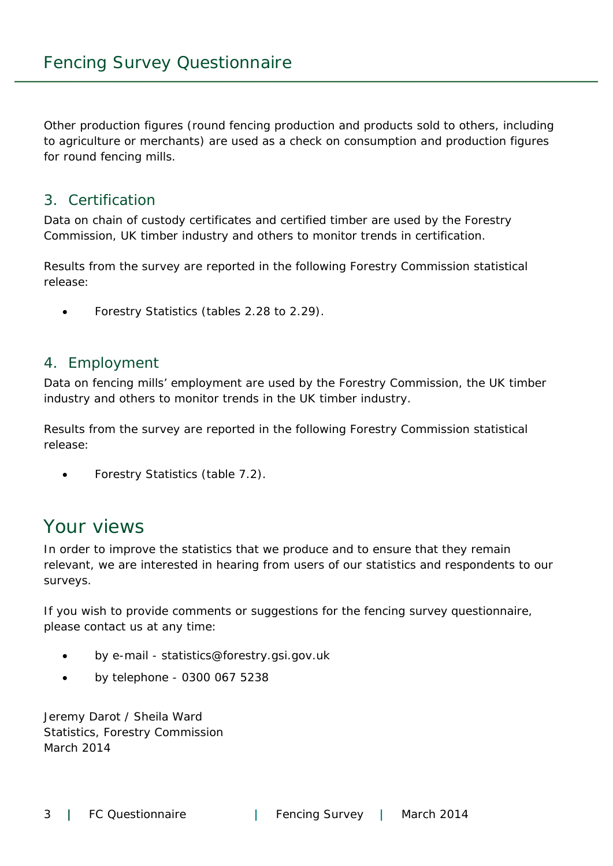Other production figures (round fencing production and products sold to others, including to agriculture or merchants) are used as a check on consumption and production figures for round fencing mills.

#### 3. Certification

Data on chain of custody certificates and certified timber are used by the Forestry Commission, UK timber industry and others to monitor trends in certification.

Results from the survey are reported in the following Forestry Commission statistical release:

Forestry Statistics (tables 2.28 to 2.29).

#### 4. Employment

Data on fencing mills' employment are used by the Forestry Commission, the UK timber industry and others to monitor trends in the UK timber industry.

Results from the survey are reported in the following Forestry Commission statistical release:

Forestry Statistics (table 7.2).

# Your views

In order to improve the statistics that we produce and to ensure that they remain relevant, we are interested in hearing from users of our statistics and respondents to our surveys.

If you wish to provide comments or suggestions for the fencing survey questionnaire, please contact us at any time:

- by e-mail statistics@forestry.gsi.gov.uk
- by telephone 0300 067 5238

Jeremy Darot / Sheila Ward Statistics, Forestry Commission March 2014